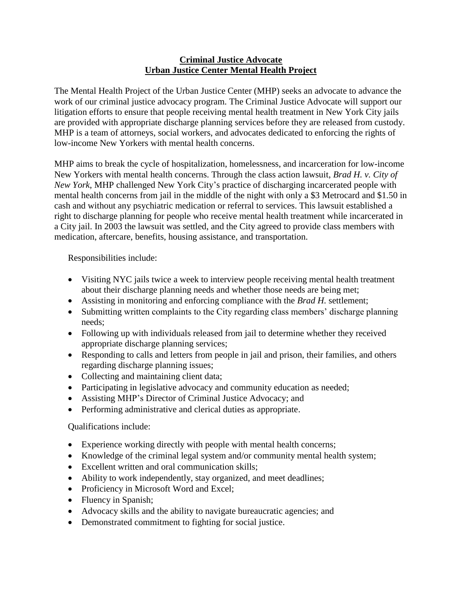## **Criminal Justice Advocate Urban Justice Center Mental Health Project**

The Mental Health Project of the Urban Justice Center (MHP) seeks an advocate to advance the work of our criminal justice advocacy program. The Criminal Justice Advocate will support our litigation efforts to ensure that people receiving mental health treatment in New York City jails are provided with appropriate discharge planning services before they are released from custody. MHP is a team of attorneys, social workers, and advocates dedicated to enforcing the rights of low-income New Yorkers with mental health concerns.

MHP aims to break the cycle of hospitalization, homelessness, and incarceration for low-income New Yorkers with mental health concerns. Through the class action lawsuit, *Brad H. v. City of New York*, MHP challenged New York City's practice of discharging incarcerated people with mental health concerns from jail in the middle of the night with only a \$3 Metrocard and \$1.50 in cash and without any psychiatric medication or referral to services. This lawsuit established a right to discharge planning for people who receive mental health treatment while incarcerated in a City jail. In 2003 the lawsuit was settled, and the City agreed to provide class members with medication, aftercare, benefits, housing assistance, and transportation.

Responsibilities include:

- Visiting NYC jails twice a week to interview people receiving mental health treatment about their discharge planning needs and whether those needs are being met;
- Assisting in monitoring and enforcing compliance with the *Brad H.* settlement;
- Submitting written complaints to the City regarding class members' discharge planning needs;
- Following up with individuals released from jail to determine whether they received appropriate discharge planning services;
- Responding to calls and letters from people in jail and prison, their families, and others regarding discharge planning issues;
- Collecting and maintaining client data;
- Participating in legislative advocacy and community education as needed;
- Assisting MHP's Director of Criminal Justice Advocacy; and
- Performing administrative and clerical duties as appropriate.

## Qualifications include:

- Experience working directly with people with mental health concerns;
- Knowledge of the criminal legal system and/or community mental health system;
- Excellent written and oral communication skills;
- Ability to work independently, stay organized, and meet deadlines;
- Proficiency in Microsoft Word and Excel;
- Fluency in Spanish;
- Advocacy skills and the ability to navigate bureaucratic agencies; and
- Demonstrated commitment to fighting for social justice.